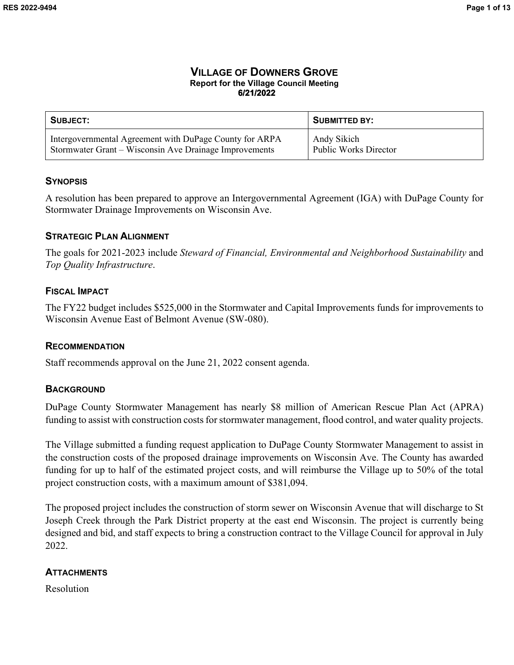### **VILLAGE OF DOWNERS GROVE Report for the Village Council Meeting 6/21/2022**

| SUBJECT:                                                | <b>SUBMITTED BY:</b>         |
|---------------------------------------------------------|------------------------------|
| Intergovernmental Agreement with DuPage County for ARPA | Andy Sikich                  |
| Stormwater Grant – Wisconsin Ave Drainage Improvements  | <b>Public Works Director</b> |

#### **SYNOPSIS**

A resolution has been prepared to approve an Intergovernmental Agreement (IGA) with DuPage County for Stormwater Drainage Improvements on Wisconsin Ave.

#### **STRATEGIC PLAN ALIGNMENT**

The goals for 2021-2023 include *Steward of Financial, Environmental and Neighborhood Sustainability* and *Top Quality Infrastructure*.

### **FISCAL IMPACT**

The FY22 budget includes \$525,000 in the Stormwater and Capital Improvements funds for improvements to Wisconsin Avenue East of Belmont Avenue (SW-080).

### **RECOMMENDATION**

Staff recommends approval on the June 21, 2022 consent agenda.

#### **BACKGROUND**

DuPage County Stormwater Management has nearly \$8 million of American Rescue Plan Act (APRA) funding to assist with construction costs for stormwater management, flood control, and water quality projects.

The Village submitted a funding request application to DuPage County Stormwater Management to assist in the construction costs of the proposed drainage improvements on Wisconsin Ave. The County has awarded funding for up to half of the estimated project costs, and will reimburse the Village up to 50% of the total project construction costs, with a maximum amount of \$381,094.

The proposed project includes the construction of storm sewer on Wisconsin Avenue that will discharge to St Joseph Creek through the Park District property at the east end Wisconsin. The project is currently being designed and bid, and staff expects to bring a construction contract to the Village Council for approval in July 2022.

### **ATTACHMENTS**

Resolution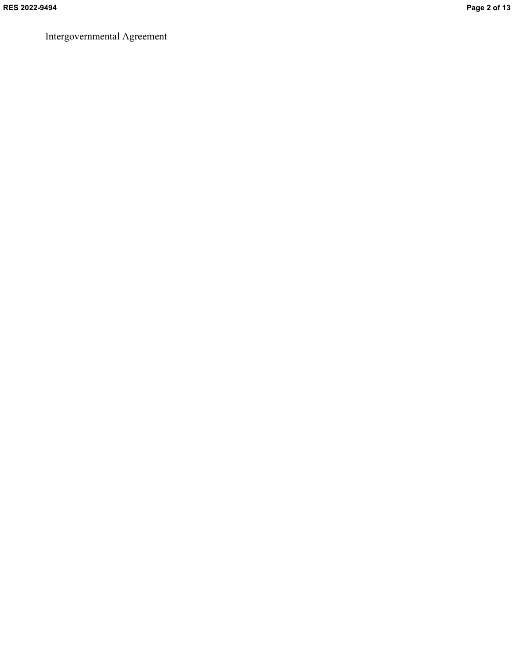Intergovernmental Agreement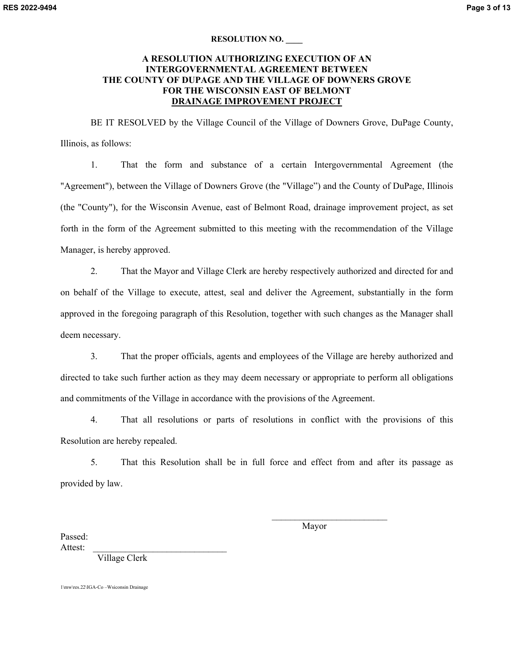#### **RESOLUTION NO. \_\_\_\_**

#### **A RESOLUTION AUTHORIZING EXECUTION OF AN INTERGOVERNMENTAL AGREEMENT BETWEEN THE COUNTY OF DUPAGE AND THE VILLAGE OF DOWNERS GROVE FOR THE WISCONSIN EAST OF BELMONT DRAINAGE IMPROVEMENT PROJECT**

BE IT RESOLVED by the Village Council of the Village of Downers Grove, DuPage County, Illinois, as follows:

1. That the form and substance of a certain Intergovernmental Agreement (the "Agreement"), between the Village of Downers Grove (the "Village") and the County of DuPage, Illinois (the "County"), for the Wisconsin Avenue, east of Belmont Road, drainage improvement project, as set forth in the form of the Agreement submitted to this meeting with the recommendation of the Village Manager, is hereby approved.

2. That the Mayor and Village Clerk are hereby respectively authorized and directed for and on behalf of the Village to execute, attest, seal and deliver the Agreement, substantially in the form approved in the foregoing paragraph of this Resolution, together with such changes as the Manager shall deem necessary.

3. That the proper officials, agents and employees of the Village are hereby authorized and directed to take such further action as they may deem necessary or appropriate to perform all obligations and commitments of the Village in accordance with the provisions of the Agreement.

4. That all resolutions or parts of resolutions in conflict with the provisions of this Resolution are hereby repealed.

5. That this Resolution shall be in full force and effect from and after its passage as provided by law.

Mayor

 $\mathcal{L}_\text{max}$ 

Passed: Attest:

Village Clerk

1\mw\res.22\IGA-Co –Wsiconsin Drainage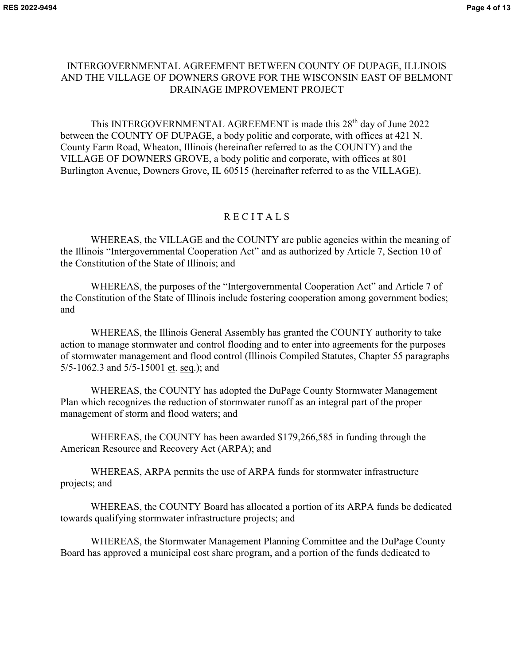# INTERGOVERNMENTAL AGREEMENT BETWEEN COUNTY OF DUPAGE, ILLINOIS AND THE VILLAGE OF DOWNERS GROVE FOR THE WISCONSIN EAST OF BELMONT DRAINAGE IMPROVEMENT PROJECT

This INTERGOVERNMENTAL AGREEMENT is made this 28<sup>th</sup> day of June 2022 between the COUNTY OF DUPAGE, a body politic and corporate, with offices at 421 N. County Farm Road, Wheaton, Illinois (hereinafter referred to as the COUNTY) and the VILLAGE OF DOWNERS GROVE, a body politic and corporate, with offices at 801 Burlington Avenue, Downers Grove, IL 60515 (hereinafter referred to as the VILLAGE).

# **RECITALS**

WHEREAS, the VILLAGE and the COUNTY are public agencies within the meaning of the Illinois "Intergovernmental Cooperation Act" and as authorized by Article 7, Section 10 of the Constitution of the State of Illinois; and

 WHEREAS, the purposes of the "Intergovernmental Cooperation Act" and Article 7 of the Constitution of the State of Illinois include fostering cooperation among government bodies; and

 WHEREAS, the Illinois General Assembly has granted the COUNTY authority to take action to manage stormwater and control flooding and to enter into agreements for the purposes of stormwater management and flood control (Illinois Compiled Statutes, Chapter 55 paragraphs 5/5-1062.3 and 5/5-15001 et. seq.); and

WHEREAS, the COUNTY has adopted the DuPage County Stormwater Management Plan which recognizes the reduction of stormwater runoff as an integral part of the proper management of storm and flood waters; and

WHEREAS, the COUNTY has been awarded \$179,266,585 in funding through the American Resource and Recovery Act (ARPA); and

WHEREAS, ARPA permits the use of ARPA funds for stormwater infrastructure projects; and

WHEREAS, the COUNTY Board has allocated a portion of its ARPA funds be dedicated towards qualifying stormwater infrastructure projects; and

WHEREAS, the Stormwater Management Planning Committee and the DuPage County Board has approved a municipal cost share program, and a portion of the funds dedicated to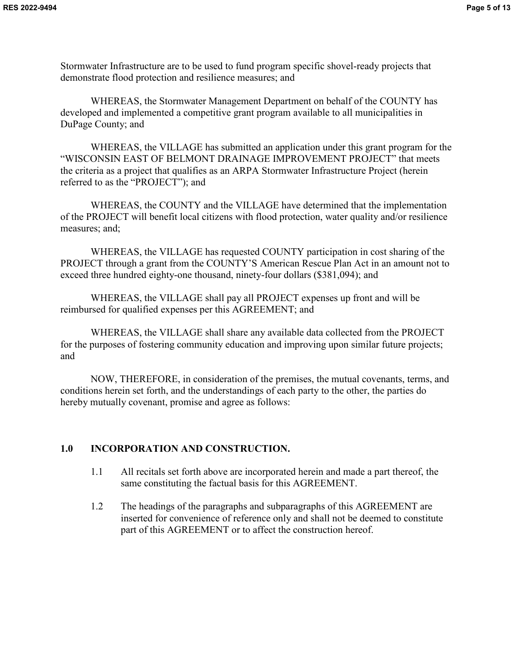Stormwater Infrastructure are to be used to fund program specific shovel-ready projects that demonstrate flood protection and resilience measures; and

WHEREAS, the Stormwater Management Department on behalf of the COUNTY has developed and implemented a competitive grant program available to all municipalities in DuPage County; and

WHEREAS, the VILLAGE has submitted an application under this grant program for the "WISCONSIN EAST OF BELMONT DRAINAGE IMPROVEMENT PROJECT" that meets the criteria as a project that qualifies as an ARPA Stormwater Infrastructure Project (herein referred to as the "PROJECT"); and

WHEREAS, the COUNTY and the VILLAGE have determined that the implementation of the PROJECT will benefit local citizens with flood protection, water quality and/or resilience measures; and;

WHEREAS, the VILLAGE has requested COUNTY participation in cost sharing of the PROJECT through a grant from the COUNTY'S American Rescue Plan Act in an amount not to exceed three hundred eighty-one thousand, ninety-four dollars (\$381,094); and

WHEREAS, the VILLAGE shall pay all PROJECT expenses up front and will be reimbursed for qualified expenses per this AGREEMENT; and

WHEREAS, the VILLAGE shall share any available data collected from the PROJECT for the purposes of fostering community education and improving upon similar future projects; and

 NOW, THEREFORE, in consideration of the premises, the mutual covenants, terms, and conditions herein set forth, and the understandings of each party to the other, the parties do hereby mutually covenant, promise and agree as follows:

### **1.0 INCORPORATION AND CONSTRUCTION.**

- 1.1 All recitals set forth above are incorporated herein and made a part thereof, the same constituting the factual basis for this AGREEMENT.
- 1.2 The headings of the paragraphs and subparagraphs of this AGREEMENT are inserted for convenience of reference only and shall not be deemed to constitute part of this AGREEMENT or to affect the construction hereof.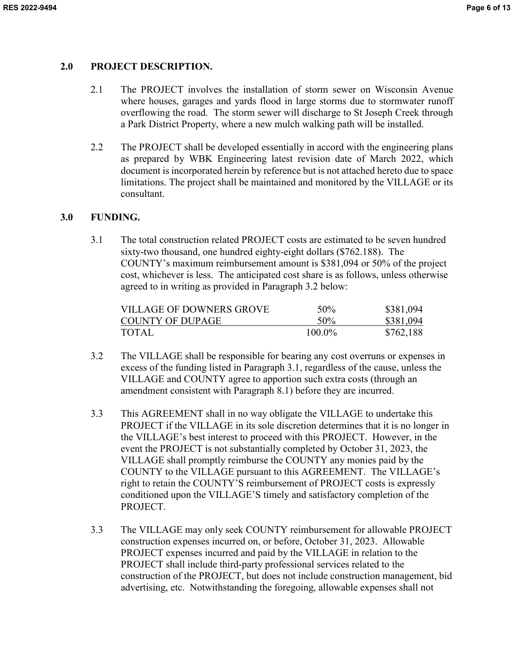### **2.0 PROJECT DESCRIPTION.**

- 2.1 The PROJECT involves the installation of storm sewer on Wisconsin Avenue where houses, garages and yards flood in large storms due to stormwater runoff overflowing the road. The storm sewer will discharge to St Joseph Creek through a Park District Property, where a new mulch walking path will be installed.
- 2.2 The PROJECT shall be developed essentially in accord with the engineering plans as prepared by WBK Engineering latest revision date of March 2022, which document is incorporated herein by reference but is not attached hereto due to space limitations. The project shall be maintained and monitored by the VILLAGE or its consultant.

### **3.0 FUNDING.**

3.1 The total construction related PROJECT costs are estimated to be seven hundred sixty-two thousand, one hundred eighty-eight dollars (\$762.188). The COUNTY's maximum reimbursement amount is \$381,094 or 50% of the project cost, whichever is less. The anticipated cost share is as follows, unless otherwise agreed to in writing as provided in Paragraph 3.2 below:

| VILLAGE OF DOWNERS GROVE | $50\%$    | \$381,094 |
|--------------------------|-----------|-----------|
| COUNTY OF DUPAGE         | $50\%$    | \$381,094 |
| TOTAL                    | $100.0\%$ | \$762,188 |

- 3.2 The VILLAGE shall be responsible for bearing any cost overruns or expenses in excess of the funding listed in Paragraph 3.1, regardless of the cause, unless the VILLAGE and COUNTY agree to apportion such extra costs (through an amendment consistent with Paragraph 8.1) before they are incurred.
- 3.3 This AGREEMENT shall in no way obligate the VILLAGE to undertake this PROJECT if the VILLAGE in its sole discretion determines that it is no longer in the VILLAGE's best interest to proceed with this PROJECT. However, in the event the PROJECT is not substantially completed by October 31, 2023, the VILLAGE shall promptly reimburse the COUNTY any monies paid by the COUNTY to the VILLAGE pursuant to this AGREEMENT. The VILLAGE's right to retain the COUNTY'S reimbursement of PROJECT costs is expressly conditioned upon the VILLAGE'S timely and satisfactory completion of the PROJECT.
- 3.3 The VILLAGE may only seek COUNTY reimbursement for allowable PROJECT construction expenses incurred on, or before, October 31, 2023. Allowable PROJECT expenses incurred and paid by the VILLAGE in relation to the PROJECT shall include third-party professional services related to the construction of the PROJECT, but does not include construction management, bid advertising, etc. Notwithstanding the foregoing, allowable expenses shall not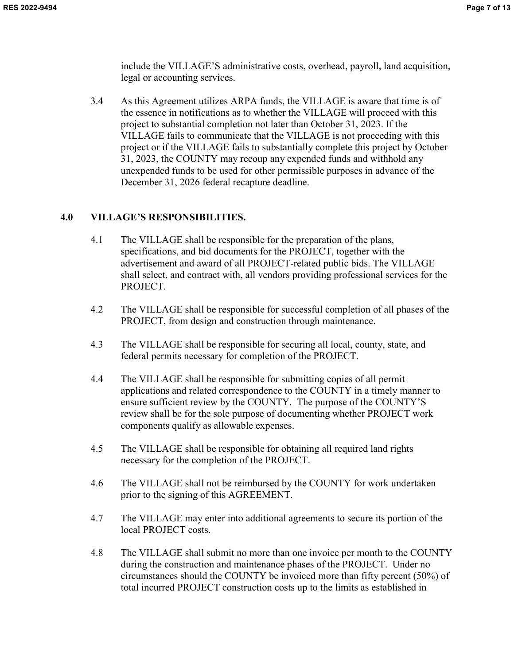include the VILLAGE'S administrative costs, overhead, payroll, land acquisition, legal or accounting services.

3.4 As this Agreement utilizes ARPA funds, the VILLAGE is aware that time is of the essence in notifications as to whether the VILLAGE will proceed with this project to substantial completion not later than October 31, 2023. If the VILLAGE fails to communicate that the VILLAGE is not proceeding with this project or if the VILLAGE fails to substantially complete this project by October 31, 2023, the COUNTY may recoup any expended funds and withhold any unexpended funds to be used for other permissible purposes in advance of the December 31, 2026 federal recapture deadline.

# **4.0 VILLAGE'S RESPONSIBILITIES.**

- 4.1 The VILLAGE shall be responsible for the preparation of the plans, specifications, and bid documents for the PROJECT, together with the advertisement and award of all PROJECT-related public bids. The VILLAGE shall select, and contract with, all vendors providing professional services for the PROJECT.
- 4.2 The VILLAGE shall be responsible for successful completion of all phases of the PROJECT, from design and construction through maintenance.
- 4.3 The VILLAGE shall be responsible for securing all local, county, state, and federal permits necessary for completion of the PROJECT.
- 4.4 The VILLAGE shall be responsible for submitting copies of all permit applications and related correspondence to the COUNTY in a timely manner to ensure sufficient review by the COUNTY. The purpose of the COUNTY'S review shall be for the sole purpose of documenting whether PROJECT work components qualify as allowable expenses.
- 4.5 The VILLAGE shall be responsible for obtaining all required land rights necessary for the completion of the PROJECT.
- 4.6 The VILLAGE shall not be reimbursed by the COUNTY for work undertaken prior to the signing of this AGREEMENT.
- 4.7 The VILLAGE may enter into additional agreements to secure its portion of the local PROJECT costs.
- 4.8 The VILLAGE shall submit no more than one invoice per month to the COUNTY during the construction and maintenance phases of the PROJECT. Under no circumstances should the COUNTY be invoiced more than fifty percent (50%) of total incurred PROJECT construction costs up to the limits as established in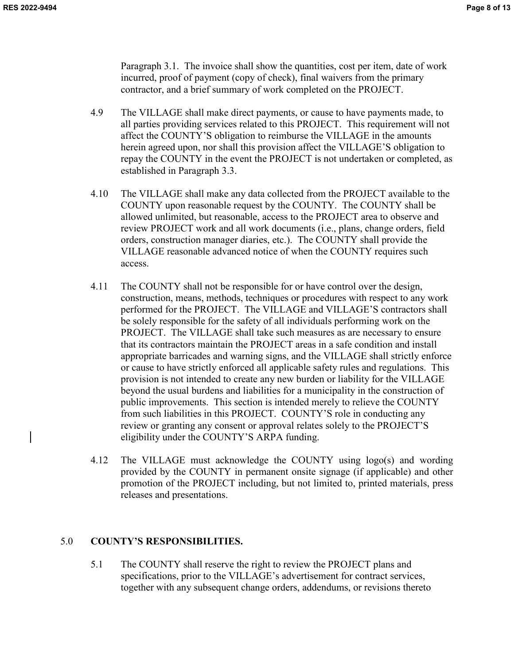Paragraph 3.1. The invoice shall show the quantities, cost per item, date of work incurred, proof of payment (copy of check), final waivers from the primary contractor, and a brief summary of work completed on the PROJECT.

- 4.9 The VILLAGE shall make direct payments, or cause to have payments made, to all parties providing services related to this PROJECT. This requirement will not affect the COUNTY'S obligation to reimburse the VILLAGE in the amounts herein agreed upon, nor shall this provision affect the VILLAGE'S obligation to repay the COUNTY in the event the PROJECT is not undertaken or completed, as established in Paragraph 3.3.
- 4.10 The VILLAGE shall make any data collected from the PROJECT available to the COUNTY upon reasonable request by the COUNTY. The COUNTY shall be allowed unlimited, but reasonable, access to the PROJECT area to observe and review PROJECT work and all work documents (i.e., plans, change orders, field orders, construction manager diaries, etc.). The COUNTY shall provide the VILLAGE reasonable advanced notice of when the COUNTY requires such access.
- 4.11 The COUNTY shall not be responsible for or have control over the design, construction, means, methods, techniques or procedures with respect to any work performed for the PROJECT. The VILLAGE and VILLAGE'S contractors shall be solely responsible for the safety of all individuals performing work on the PROJECT. The VILLAGE shall take such measures as are necessary to ensure that its contractors maintain the PROJECT areas in a safe condition and install appropriate barricades and warning signs, and the VILLAGE shall strictly enforce or cause to have strictly enforced all applicable safety rules and regulations. This provision is not intended to create any new burden or liability for the VILLAGE beyond the usual burdens and liabilities for a municipality in the construction of public improvements. This section is intended merely to relieve the COUNTY from such liabilities in this PROJECT. COUNTY'S role in conducting any review or granting any consent or approval relates solely to the PROJECT'S eligibility under the COUNTY'S ARPA funding.
- 4.12 The VILLAGE must acknowledge the COUNTY using logo(s) and wording provided by the COUNTY in permanent onsite signage (if applicable) and other promotion of the PROJECT including, but not limited to, printed materials, press releases and presentations.

# 5.0 **COUNTY'S RESPONSIBILITIES.**

5.1 The COUNTY shall reserve the right to review the PROJECT plans and specifications, prior to the VILLAGE's advertisement for contract services, together with any subsequent change orders, addendums, or revisions thereto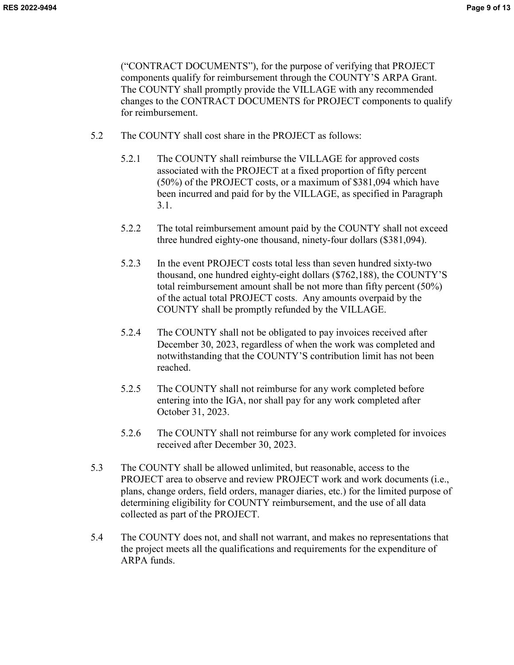("CONTRACT DOCUMENTS"), for the purpose of verifying that PROJECT components qualify for reimbursement through the COUNTY'S ARPA Grant. The COUNTY shall promptly provide the VILLAGE with any recommended changes to the CONTRACT DOCUMENTS for PROJECT components to qualify for reimbursement.

- 5.2 The COUNTY shall cost share in the PROJECT as follows:
	- 5.2.1 The COUNTY shall reimburse the VILLAGE for approved costs associated with the PROJECT at a fixed proportion of fifty percent (50%) of the PROJECT costs, or a maximum of \$381,094 which have been incurred and paid for by the VILLAGE, as specified in Paragraph 3.1.
	- 5.2.2 The total reimbursement amount paid by the COUNTY shall not exceed three hundred eighty-one thousand, ninety-four dollars (\$381,094).
	- 5.2.3 In the event PROJECT costs total less than seven hundred sixty-two thousand, one hundred eighty-eight dollars (\$762,188), the COUNTY'S total reimbursement amount shall be not more than fifty percent (50%) of the actual total PROJECT costs. Any amounts overpaid by the COUNTY shall be promptly refunded by the VILLAGE.
	- 5.2.4 The COUNTY shall not be obligated to pay invoices received after December 30, 2023, regardless of when the work was completed and notwithstanding that the COUNTY'S contribution limit has not been reached.
	- 5.2.5 The COUNTY shall not reimburse for any work completed before entering into the IGA, nor shall pay for any work completed after October 31, 2023.
	- 5.2.6 The COUNTY shall not reimburse for any work completed for invoices received after December 30, 2023.
- 5.3 The COUNTY shall be allowed unlimited, but reasonable, access to the PROJECT area to observe and review PROJECT work and work documents (i.e., plans, change orders, field orders, manager diaries, etc.) for the limited purpose of determining eligibility for COUNTY reimbursement, and the use of all data collected as part of the PROJECT.
- 5.4 The COUNTY does not, and shall not warrant, and makes no representations that the project meets all the qualifications and requirements for the expenditure of ARPA funds.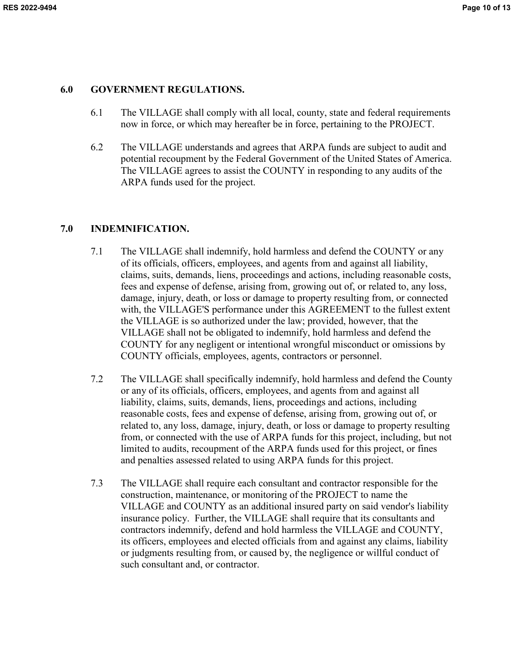#### **6.0 GOVERNMENT REGULATIONS.**

- 6.1 The VILLAGE shall comply with all local, county, state and federal requirements now in force, or which may hereafter be in force, pertaining to the PROJECT.
- 6.2 The VILLAGE understands and agrees that ARPA funds are subject to audit and potential recoupment by the Federal Government of the United States of America. The VILLAGE agrees to assist the COUNTY in responding to any audits of the ARPA funds used for the project.

### **7.0 INDEMNIFICATION.**

- 7.1 The VILLAGE shall indemnify, hold harmless and defend the COUNTY or any of its officials, officers, employees, and agents from and against all liability, claims, suits, demands, liens, proceedings and actions, including reasonable costs, fees and expense of defense, arising from, growing out of, or related to, any loss, damage, injury, death, or loss or damage to property resulting from, or connected with, the VILLAGE'S performance under this AGREEMENT to the fullest extent the VILLAGE is so authorized under the law; provided, however, that the VILLAGE shall not be obligated to indemnify, hold harmless and defend the COUNTY for any negligent or intentional wrongful misconduct or omissions by COUNTY officials, employees, agents, contractors or personnel.
- 7.2 The VILLAGE shall specifically indemnify, hold harmless and defend the County or any of its officials, officers, employees, and agents from and against all liability, claims, suits, demands, liens, proceedings and actions, including reasonable costs, fees and expense of defense, arising from, growing out of, or related to, any loss, damage, injury, death, or loss or damage to property resulting from, or connected with the use of ARPA funds for this project, including, but not limited to audits, recoupment of the ARPA funds used for this project, or fines and penalties assessed related to using ARPA funds for this project.
- 7.3 The VILLAGE shall require each consultant and contractor responsible for the construction, maintenance, or monitoring of the PROJECT to name the VILLAGE and COUNTY as an additional insured party on said vendor's liability insurance policy. Further, the VILLAGE shall require that its consultants and contractors indemnify, defend and hold harmless the VILLAGE and COUNTY, its officers, employees and elected officials from and against any claims, liability or judgments resulting from, or caused by, the negligence or willful conduct of such consultant and, or contractor.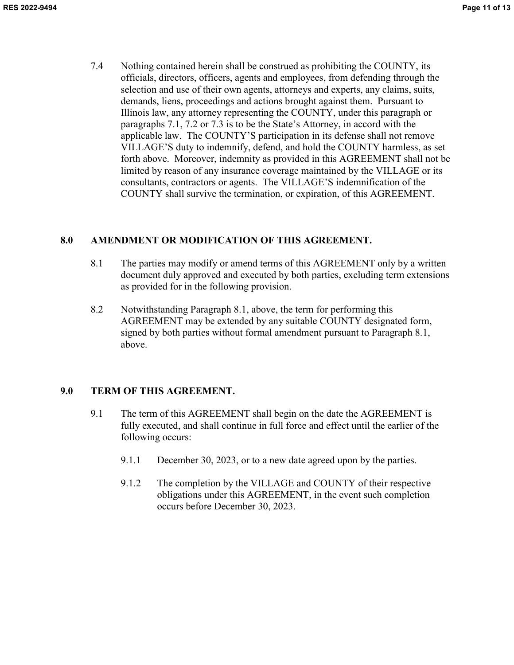7.4 Nothing contained herein shall be construed as prohibiting the COUNTY, its officials, directors, officers, agents and employees, from defending through the selection and use of their own agents, attorneys and experts, any claims, suits, demands, liens, proceedings and actions brought against them. Pursuant to Illinois law, any attorney representing the COUNTY, under this paragraph or paragraphs 7.1, 7.2 or 7.3 is to be the State's Attorney, in accord with the applicable law. The COUNTY'S participation in its defense shall not remove VILLAGE'S duty to indemnify, defend, and hold the COUNTY harmless, as set forth above. Moreover, indemnity as provided in this AGREEMENT shall not be limited by reason of any insurance coverage maintained by the VILLAGE or its consultants, contractors or agents. The VILLAGE'S indemnification of the COUNTY shall survive the termination, or expiration, of this AGREEMENT.

# **8.0 AMENDMENT OR MODIFICATION OF THIS AGREEMENT.**

- 8.1 The parties may modify or amend terms of this AGREEMENT only by a written document duly approved and executed by both parties, excluding term extensions as provided for in the following provision.
- 8.2 Notwithstanding Paragraph 8.1, above, the term for performing this AGREEMENT may be extended by any suitable COUNTY designated form, signed by both parties without formal amendment pursuant to Paragraph 8.1, above.

# **9.0 TERM OF THIS AGREEMENT.**

- 9.1 The term of this AGREEMENT shall begin on the date the AGREEMENT is fully executed, and shall continue in full force and effect until the earlier of the following occurs:
	- 9.1.1 December 30, 2023, or to a new date agreed upon by the parties.
	- 9.1.2 The completion by the VILLAGE and COUNTY of their respective obligations under this AGREEMENT, in the event such completion occurs before December 30, 2023.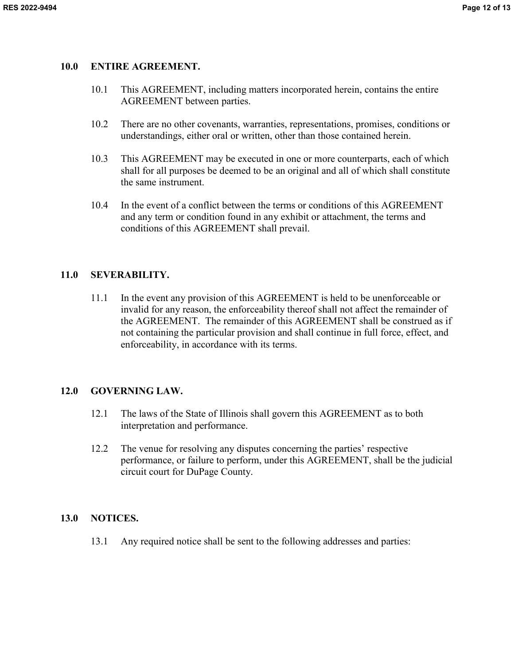### **10.0 ENTIRE AGREEMENT.**

- 10.1 This AGREEMENT, including matters incorporated herein, contains the entire AGREEMENT between parties.
- 10.2 There are no other covenants, warranties, representations, promises, conditions or understandings, either oral or written, other than those contained herein.
- 10.3 This AGREEMENT may be executed in one or more counterparts, each of which shall for all purposes be deemed to be an original and all of which shall constitute the same instrument.
- 10.4 In the event of a conflict between the terms or conditions of this AGREEMENT and any term or condition found in any exhibit or attachment, the terms and conditions of this AGREEMENT shall prevail.

# **11.0 SEVERABILITY.**

11.1 In the event any provision of this AGREEMENT is held to be unenforceable or invalid for any reason, the enforceability thereof shall not affect the remainder of the AGREEMENT. The remainder of this AGREEMENT shall be construed as if not containing the particular provision and shall continue in full force, effect, and enforceability, in accordance with its terms.

# **12.0 GOVERNING LAW.**

- 12.1 The laws of the State of Illinois shall govern this AGREEMENT as to both interpretation and performance.
- 12.2 The venue for resolving any disputes concerning the parties' respective performance, or failure to perform, under this AGREEMENT, shall be the judicial circuit court for DuPage County.

# **13.0 NOTICES.**

13.1 Any required notice shall be sent to the following addresses and parties: